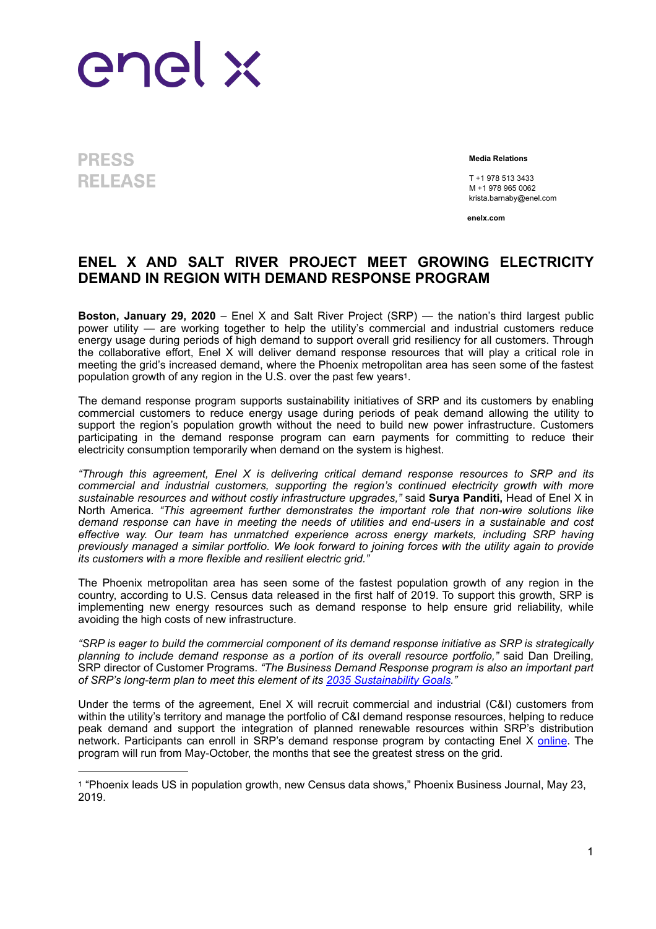

**PRESS RELEASE** 

**Media Relations**

 T +1 978 513 3433 M +1 978 965 0062 krista.barnaby@enel.com

<span id="page-0-1"></span>**enelx.com**

## **ENEL X AND SALT RIVER PROJECT MEET GROWING ELECTRICITY DEMAND IN REGION WITH DEMAND RESPONSE PROGRAM**

**Boston, January 29, 2020** – Enel X and Salt River Project (SRP) — the nation's third largest public power utility — are working together to help the utility's commercial and industrial customers reduce energy usage during periods of high demand to support overall grid resiliency for all customers. Through the collaborative effort, Enel X will deliver demand response resources that will play a critical role in meeting the grid's increased demand, where the Phoenix metropolitan area has seen some of the fastest population growth of any region in the U[.](#page-0-0)S. over the past few years<sup>[1](#page-0-0)</sup>.

The demand response program supports sustainability initiatives of SRP and its customers by enabling commercial customers to reduce energy usage during periods of peak demand allowing the utility to support the region's population growth without the need to build new power infrastructure. Customers participating in the demand response program can earn payments for committing to reduce their electricity consumption temporarily when demand on the system is highest.

*"Through this agreement, Enel X is delivering critical demand response resources to SRP and its commercial and industrial customers, supporting the region's continued electricity growth with more sustainable resources and without costly infrastructure upgrades,"* said **Surya Panditi,** Head of Enel X in North America. *"This agreement further demonstrates the important role that non-wire solutions like demand response can have in meeting the needs of utilities and end-users in a sustainable and cost effective way. Our team has unmatched experience across energy markets, including SRP having previously managed a similar portfolio. We look forward to joining forces with the utility again to provide its customers with a more flexible and resilient electric grid."*

The Phoenix metropolitan area has seen some of the fastest population growth of any region in the country, according to U.S. Census data released in the first half of 2019. To support this growth, SRP is implementing new energy resources such as demand response to help ensure grid reliability, while avoiding the high costs of new infrastructure.

*"SRP is eager to build the commercial component of its demand response initiative as SRP is strategically planning to include demand response as a portion of its overall resource portfolio,"* said Dan Dreiling, SRP director of Customer Programs. *"The Business Demand Response program is also an important part of SRP's long-term plan to meet this element of its [2035 Sustainability Goals.](http://www.srpnet.com/2035)"*

Under the terms of the agreement, Enel X will recruit commercial and industrial (C&I) customers from within the utility's territory and manage the portfolio of C&I demand response resources, helping to reduce peak demand and support the integration of planned renewable resources within SRP's distribution network. Participants can enroll in SRP's demand response program by contacting Enel X [online](https://www.enelx.com/n-a/en/forms/contact-sales). The program will run from May-October, the months that see the greatest stress on the grid.

<span id="page-0-0"></span>"Phoenix leads US in population growth, new Census data shows," Phoenix Business Journal, May 23, [1](#page-0-1) 2019.